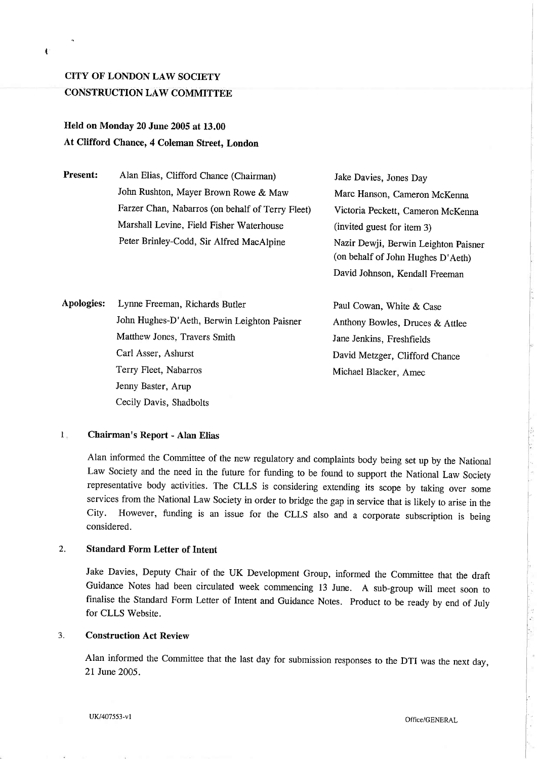# CITY OF LONDON LAW SOCIETY CONSTRUCTION LAW COMMITTEE

# Held on Monday 20 June 2005 at 13.00 At Clifford Chance, 4 Coleman Street, London

Present: Alan Elias, Clifford Chance (Chairman) John Rushton, Mayer Brown Rowe & Maw Farzer Chan, Nabarros (on behalf of Terry Fleet) Marshall Levine, Field Fisher Waterhouse Peter Brinley-Codd, Sir Alfred MacAlpine

Jake Davies, Jones Day Marc Hanson, Cameron McKenna Victoria Peckett, Cameron McKenna (invited guest for item 3) Nazir Dewji, Berwin Leighton Paisner (on behalf of John Hughes D'Aeth) David Johnson, Kendall Freeman

Apologies: Lynne Freeman, Richards Butler John Hughes-D' Aeth, Berwin Leighton Paisner Matthew Jones, Travers Smith Carl Asser, Ashurst Terry Fleet, Nabarros Jenny Baster, Arup Cecily Davis, Shadbolts

Paul Cowan, White & Case Anthony Bowles, Druces & AttIee Jane Jenkins, Freshfields David Metzger, Clifford Chance Michael Blacker, Amec

#### $1_{-}$ Chairman's Report - Alan Elias

Alan informed the Committee of the new regulatory and complaints body being set up by the National Law Society and the need in the future for funding to be found to support the National Law Society representative body activities. The CLLS is considering extending its scope by taking over some services from the National Law Society in order to bridge the gap in service that is likely to arise in the City. However, funding is an issue for the CLLS also and a corporate subscription is being considered.

### 2. Standard Form Letter of Intent

Jake Davies, Deputy Chair of the UK Development Group, informed the Committee that the draft Guidance Notes had been circulated week commencing 13 June. A sub-group wil meet soon to finaIise the Standard Form Letter of Intent and Guidance Notes. Product to be ready by end of July for CLLS Website.

## 3. Construction Act Review

Alan informed the Committee that the last day for submission responses to the DTI was the next day, 21 June 2005.

I.

à.